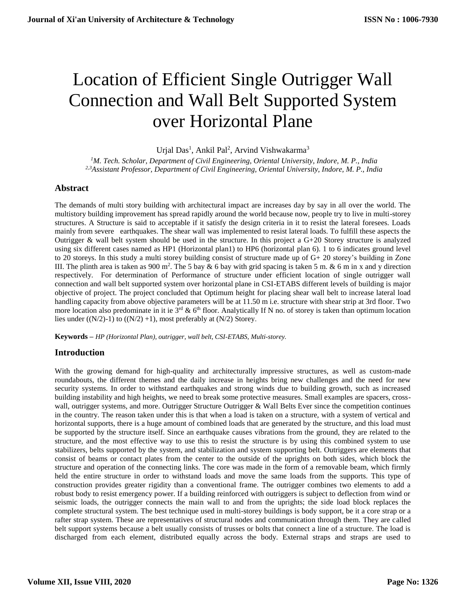# Location of Efficient Single Outrigger Wall Connection and Wall Belt Supported System over Horizontal Plane

Urjal Das<sup>1</sup>, Ankil Pal<sup>2</sup>, Arvind Vishwakarma<sup>3</sup>

*<sup>1</sup>M. Tech. Scholar, Department of Civil Engineering, Oriental University, Indore, M. P., India 2,3Assistant Professor, Department of Civil Engineering, Oriental University, Indore, M. P., India*

#### **Abstract**

The demands of multi story building with architectural impact are increases day by say in all over the world. The multistory building improvement has spread rapidly around the world because now, people try to live in multi-storey structures. A Structure is said to acceptable if it satisfy the design criteria in it to resist the lateral foresees. Loads mainly from severe earthquakes. The shear wall was implemented to resist lateral loads. To fulfill these aspects the Outrigger & wall belt system should be used in the structure. In this project a G+20 Storey structure is analyzed using six different cases named as HP1 (Horizontal plan1) to HP6 (horizontal plan 6). 1 to 6 indicates ground level to 20 storeys. In this study a multi storey building consist of structure made up of G+ 20 storey's building in Zone III. The plinth area is taken as 900 m<sup>2</sup>. The 5 bay & 6 bay with grid spacing is taken 5 m. & 6 m in x and y direction respectively. For determination of Performance of structure under efficient location of single outrigger wall connection and wall belt supported system over horizontal plane in CSI-ETABS different levels of building is major objective of project. The project concluded that Optimum height for placing shear wall belt to increase lateral load handling capacity from above objective parameters will be at 11.50 m i.e. structure with shear strip at 3rd floor. Two more location also predominate in it ie  $3<sup>rd</sup>$  & 6<sup>th</sup> floor. Analytically If N no. of storey is taken than optimum location lies under  $((N/2)-1)$  to  $((N/2)+1)$ , most preferably at  $(N/2)$  Storey.

**Keywords –** *HP (Horizontal Plan), outrigger, wall belt, CSI-ETABS, Multi-storey.*

## **Introduction**

With the growing demand for high-quality and architecturally impressive structures, as well as custom-made roundabouts, the different themes and the daily increase in heights bring new challenges and the need for new security systems. In order to withstand earthquakes and strong winds due to building growth, such as increased building instability and high heights, we need to break some protective measures. Small examples are spacers, crosswall, outrigger systems, and more. Outrigger Structure Outrigger & Wall Belts Ever since the competition continues in the country. The reason taken under this is that when a load is taken on a structure, with a system of vertical and horizontal supports, there is a huge amount of combined loads that are generated by the structure, and this load must be supported by the structure itself. Since an earthquake causes vibrations from the ground, they are related to the structure, and the most effective way to use this to resist the structure is by using this combined system to use stabilizers, belts supported by the system, and stabilization and system supporting belt. Outriggers are elements that consist of beams or contact plates from the center to the outside of the uprights on both sides, which block the structure and operation of the connecting links. The core was made in the form of a removable beam, which firmly held the entire structure in order to withstand loads and move the same loads from the supports. This type of construction provides greater rigidity than a conventional frame. The outrigger combines two elements to add a robust body to resist emergency power. If a building reinforced with outriggers is subject to deflection from wind or seismic loads, the outrigger connects the main wall to and from the uprights; the side load block replaces the complete structural system. The best technique used in multi-storey buildings is body support, be it a core strap or a rafter strap system. These are representatives of structural nodes and communication through them. They are called belt support systems because a belt usually consists of trusses or bolts that connect a line of a structure. The load is discharged from each element, distributed equally across the body. External straps and straps are used to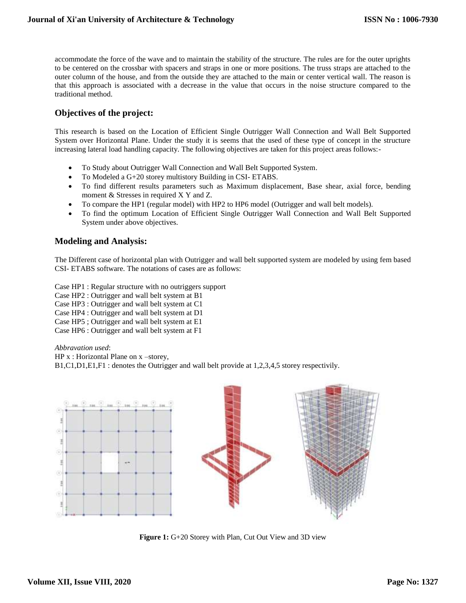accommodate the force of the wave and to maintain the stability of the structure. The rules are for the outer uprights to be centered on the crossbar with spacers and straps in one or more positions. The truss straps are attached to the outer column of the house, and from the outside they are attached to the main or center vertical wall. The reason is that this approach is associated with a decrease in the value that occurs in the noise structure compared to the traditional method.

# **Objectives of the project:**

This research is based on the Location of Efficient Single Outrigger Wall Connection and Wall Belt Supported System over Horizontal Plane. Under the study it is seems that the used of these type of concept in the structure increasing lateral load handling capacity. The following objectives are taken for this project areas follows:-

- To Study about Outrigger Wall Connection and Wall Belt Supported System.
- To Modeled a G+20 storey multistory Building in CSI- ETABS.
- To find different results parameters such as Maximum displacement, Base shear, axial force, bending moment & Stresses in required X Y and Z.
- To compare the HP1 (regular model) with HP2 to HP6 model (Outrigger and wall belt models).
- To find the optimum Location of Efficient Single Outrigger Wall Connection and Wall Belt Supported System under above objectives.

# **Modeling and Analysis:**

The Different case of horizontal plan with Outrigger and wall belt supported system are modeled by using fem based CSI- ETABS software. The notations of cases are as follows:

Case HP1 : Regular structure with no outriggers support

Case HP2 : Outrigger and wall belt system at B1

Case HP3 : Outrigger and wall belt system at C1

Case HP4 : Outrigger and wall belt system at D1

Case HP5 ; Outrigger and wall belt system at E1

Case HP6 : Outrigger and wall belt system at F1

*Abbravation used*:

HP x : Horizontal Plane on x –storey,

B1,C1,D1,E1,F1 : denotes the Outrigger and wall belt provide at 1,2,3,4,5 storey respectivily.



**Figure 1:** G+20 Storey with Plan, Cut Out View and 3D view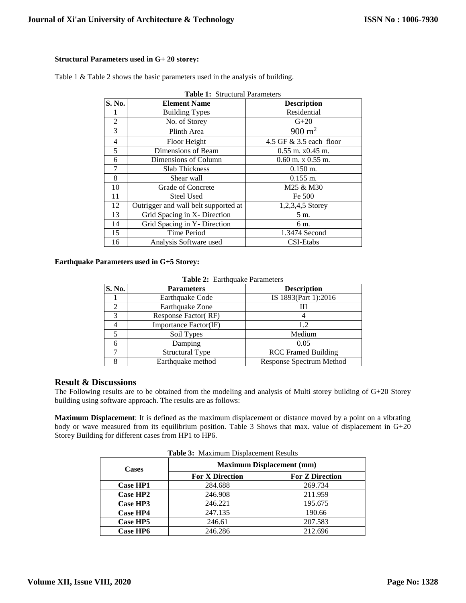#### **Structural Parameters used in G+ 20 storey:**

|                               | <b>Table 1: Structural Parameters</b> |                           |  |  |  |
|-------------------------------|---------------------------------------|---------------------------|--|--|--|
| S. No.<br><b>Element Name</b> |                                       | <b>Description</b>        |  |  |  |
|                               | <b>Building Types</b>                 | Residential               |  |  |  |
| $\overline{2}$                | No. of Storey                         | $G+20$                    |  |  |  |
| 3                             | Plinth Area                           | $900 \text{ m}^2$         |  |  |  |
| $\overline{4}$                | Floor Height                          | 4.5 GF $& 3.5$ each floor |  |  |  |
| 5                             | Dimensions of Beam                    | $0.55$ m. $x0.45$ m.      |  |  |  |
| 6                             | Dimensions of Column                  | $0.60$ m. x $0.55$ m.     |  |  |  |
| 7                             | <b>Slab Thickness</b>                 | $0.150$ m.                |  |  |  |
| 8                             | Shear wall                            | $0.155$ m.                |  |  |  |
| 10                            | Grade of Concrete                     | M25 & M30                 |  |  |  |
| 11                            | Steel Used                            | Fe 500                    |  |  |  |
| 12                            | Outrigger and wall belt supported at  | 1,2,3,4,5 Storey          |  |  |  |
| 13                            | Grid Spacing in X- Direction          | 5 m.                      |  |  |  |
| 14                            | Grid Spacing in Y- Direction          | 6 m.                      |  |  |  |
| 15                            | Time Period                           | 1.3474 Second             |  |  |  |
| 16                            | Analysis Software used                | CSI-Etabs                 |  |  |  |

Table 1 & Table 2 shows the basic parameters used in the analysis of building.

**Earthquake Parameters used in G+5 Storey:** 

| S. No. | <b>Parameters</b>      | <b>Description</b>              |
|--------|------------------------|---------------------------------|
|        | Earthquake Code        | IS 1893(Part 1):2016            |
|        | Earthquake Zone        |                                 |
| 3      | Response Factor (RF)   |                                 |
|        | Importance Factor(IF)  | 1.2                             |
|        | Soil Types             | Medium                          |
|        | Damping                | 0.05                            |
|        | <b>Structural Type</b> | <b>RCC</b> Framed Building      |
|        | Earthquake method      | <b>Response Spectrum Method</b> |

**Table 2:** Earthquake Parameters

## **Result & Discussions**

The Following results are to be obtained from the modeling and analysis of Multi storey building of G+20 Storey building using software approach. The results are as follows:

**Maximum Displacement**: It is defined as the maximum displacement or distance moved by a point on a vibrating body or wave measured from its equilibrium position. Table 3 Shows that max. value of displacement in G+20 Storey Building for different cases from HP1 to HP6.

| <b>Cases</b>    | <b>Maximum Displacement (mm)</b> |                        |  |
|-----------------|----------------------------------|------------------------|--|
|                 | <b>For X Direction</b>           | <b>For Z Direction</b> |  |
| <b>Case HP1</b> | 284.688                          | 269.734                |  |
| Case HP2        | 246.908                          | 211.959                |  |
| Case HP3        | 246.221                          | 195.675                |  |
| <b>Case HP4</b> | 247.135                          | 190.66                 |  |
| <b>Case HP5</b> | 246.61                           | 207.583                |  |
| <b>Case HP6</b> | 246.286                          | 212.696                |  |

**Table 3:** Maximum Displacement Results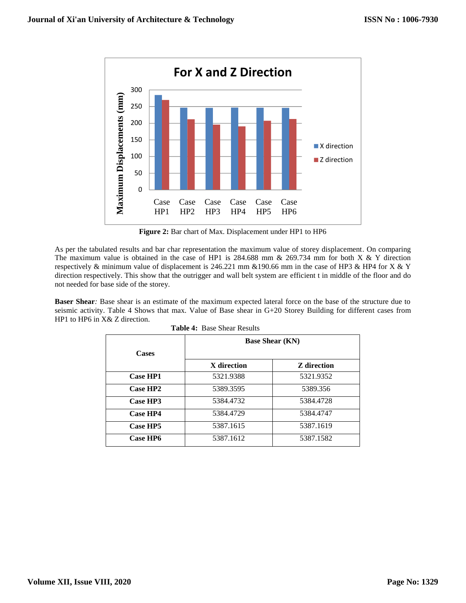

**Figure 2:** Bar chart of Max. Displacement under HP1 to HP6

As per the tabulated results and bar char representation the maximum value of storey displacement. On comparing The maximum value is obtained in the case of HP1 is  $284.688$  mm  $\&$  269.734 mm for both X  $\&$  Y direction respectively & minimum value of displacement is 246.221 mm &190.66 mm in the case of HP3 & HP4 for X & Y direction respectively. This show that the outrigger and wall belt system are efficient t in middle of the floor and do not needed for base side of the storey.

**Baser Shear***:* Base shear is an estimate of the maximum expected lateral force on the base of the structure due to seismic activity. Table 4 Shows that max. Value of Base shear in G+20 Storey Building for different cases from HP1 to HP6 in X& Z direction.

| <b>Cases</b>    | <b>Base Shear (KN)</b> |                    |  |
|-----------------|------------------------|--------------------|--|
|                 | X direction            | <b>Z</b> direction |  |
| <b>Case HP1</b> | 5321.9388              | 5321.9352          |  |
| <b>Case HP2</b> | 5389.3595              | 5389.356           |  |
| <b>Case HP3</b> | 5384.4732              | 5384.4728          |  |
| <b>Case HP4</b> | 5384.4729              | 5384.4747          |  |
| <b>Case HP5</b> | 5387.1615              | 5387.1619          |  |
| <b>Case HP6</b> | 5387.1612              | 5387.1582          |  |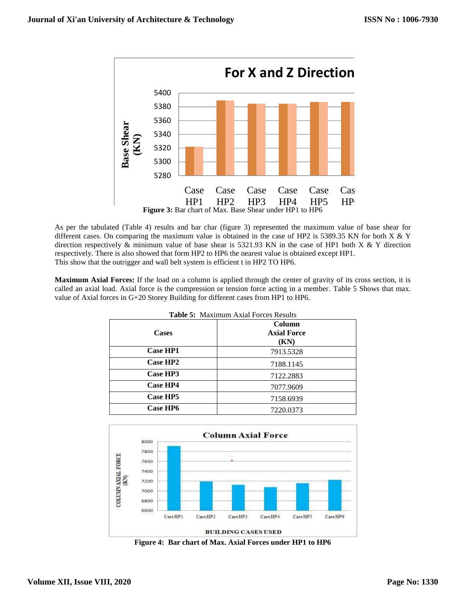

As per the tabulated (Table 4) results and bar char (figure 3) represented the maximum value of base shear for different cases. On comparing the maximum value is obtained in the case of HP2 is 5389.35 KN for both X & Y direction respectively & minimum value of base shear is 5321.93 KN in the case of HP1 both X & Y direction respectively. There is also showed that form HP2 to HP6 the nearest value is obtained except HP1. This show that the outrigger and wall belt system is efficient t in HP2 TO HP6.

**Maximum Axial Forces:** If the load on a column is applied through the center of gravity of its cross section, it is called an axial load. Axial force is the compression or tension force acting in a member. Table 5 Shows that max. value of Axial forces in G+20 Storey Building for different cases from HP1 to HP6.

| <b>Table 5:</b> Maximum Axial Forces Results |                    |  |  |
|----------------------------------------------|--------------------|--|--|
|                                              | Column             |  |  |
| <b>Cases</b>                                 | <b>Axial Force</b> |  |  |
|                                              | (KN)               |  |  |
| <b>Case HP1</b>                              | 7913.5328          |  |  |
| <b>Case HP2</b>                              | 7188.1145          |  |  |
| Case HP3                                     | 7122.2883          |  |  |
| <b>Case HP4</b>                              | 7077.9609          |  |  |
| <b>Case HP5</b>                              | 7158.6939          |  |  |
| <b>Case HP6</b>                              | 7220.0373          |  |  |



**Figure 4: Bar chart of Max. Axial Forces under HP1 to HP6**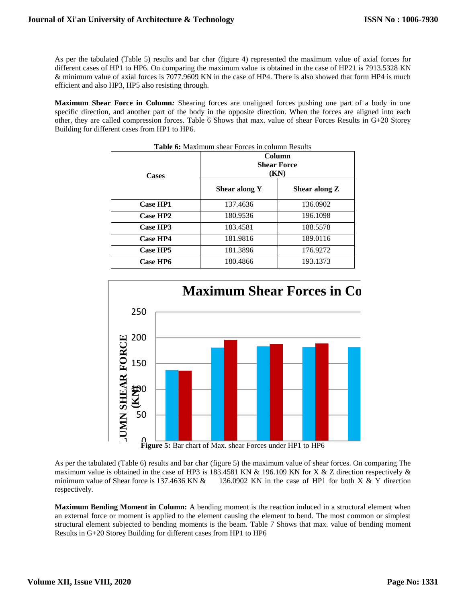As per the tabulated (Table 5) results and bar char (figure 4) represented the maximum value of axial forces for different cases of HP1 to HP6. On comparing the maximum value is obtained in the case of HP21 is 7913.5328 KN & minimum value of axial forces is 7077.9609 KN in the case of HP4. There is also showed that form HP4 is much efficient and also HP3, HP5 also resisting through.

**Maximum Shear Force in Column***:* Shearing forces are unaligned forces pushing one part of a body in one specific direction, and another part of the body in the opposite direction. When the forces are aligned into each other, they are called compression forces. Table 6 Shows that max. value of shear Forces Results in G+20 Storey Building for different cases from HP1 to HP6.

| <b>Cases</b>    |               | Column<br><b>Shear Force</b><br>(KN) |
|-----------------|---------------|--------------------------------------|
|                 | Shear along Y | Shear along Z                        |
| <b>Case HP1</b> | 137.4636      | 136.0902                             |
| <b>Case HP2</b> | 180.9536      | 196.1098                             |
| Case HP3        | 183.4581      | 188.5578                             |
| <b>Case HP4</b> | 181.9816      | 189.0116                             |
| Case HP5        | 181.3896      | 176.9272                             |
| Case HP6        | 180.4866      | 193.1373                             |

| <b>Table 6:</b> Maximum shear Forces in column Results |  |  |  |
|--------------------------------------------------------|--|--|--|
|                                                        |  |  |  |



minimum value of Shear force is 137.4636 KN & 136.0902 KN in the case of HP1 for both X & Y direction As per the tabulated (Table 6) results and bar char (figure 5) the maximum value of shear forces. On comparing The maximum value is obtained in the case of HP3 is 183.4581 KN & 196.109 KN for X & Z direction respectively & respectively.

**Maximum Bending Moment in Column:** A bending moment is the reaction induced in a structural element when an external force or moment is applied to the element causing the element to bend. The most common or simplest structural element subjected to bending moments is the beam. Table 7 Shows that max. value of bending moment Results in G+20 Storey Building for different cases from HP1 to HP6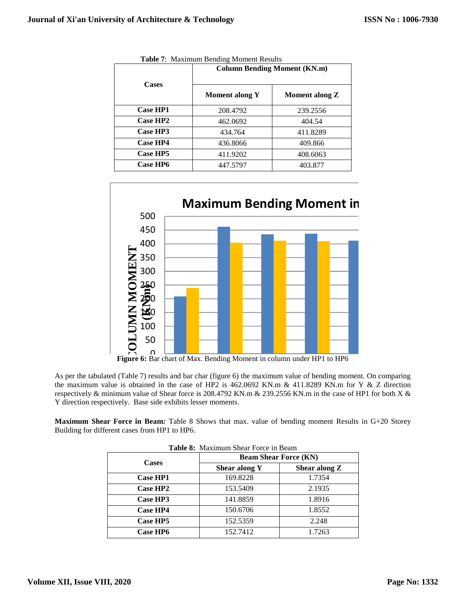|                 | <b>Column Bending Moment (KN.m)</b> |                |  |  |
|-----------------|-------------------------------------|----------------|--|--|
| <b>Cases</b>    | <b>Moment along Y</b>               | Moment along Z |  |  |
| <b>Case HP1</b> | 208.4792                            | 239.2556       |  |  |
| Case HP2        | 462.0692                            | 404.54         |  |  |
| Case HP3        | 434.764                             | 411.8289       |  |  |
| <b>Case HP4</b> | 436.8066                            | 409.866        |  |  |
| Case HP5        | 411.9202                            | 408.6063       |  |  |
| <b>Case HP6</b> | 447.5797                            | 403.877        |  |  |





respectively & minimum value of Shear force is 208.4792 KN.m & 239.2556 KN.m in the case of HP1 for both X & As per the tabulated (Table 7) results and bar char (figure 6) the maximum value of bending moment. On comparing the maximum value is obtained in the case of HP2 is 462.0692 KN.m & 411.8289 KN.m for Y & Z direction Y direction respectively. Base side exhibits lesser moments.

**Maximum Shear Force in Beam***:* Table 8 Shows that max. value of bending moment Results in G+20 Storey Building for different cases from HP1 to HP6.

|                 | <b>Table 0.</b> IMAMHUMII BHCal I OICC III DCAMI<br><b>Beam Shear Force (KN)</b> |               |  |  |
|-----------------|----------------------------------------------------------------------------------|---------------|--|--|
| <b>Cases</b>    | Shear along Y                                                                    | Shear along Z |  |  |
| <b>Case HP1</b> | 169.8228                                                                         | 1.7354        |  |  |
| Case HP2        | 153.5409                                                                         | 2.1935        |  |  |
| Case HP3        | 141.8859                                                                         | 1.8916        |  |  |
| <b>Case HP4</b> | 150.6706                                                                         | 1.8552        |  |  |
| Case HP5        | 152.5359                                                                         | 2.248         |  |  |
| <b>Case HP6</b> | 152.7412                                                                         | 1.7263        |  |  |

|  |  | <b>Table 8:</b> Maximum Shear Force in Beam |  |  |  |  |
|--|--|---------------------------------------------|--|--|--|--|
|--|--|---------------------------------------------|--|--|--|--|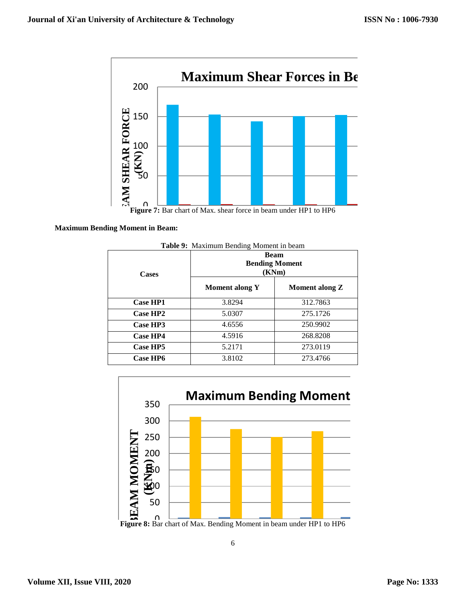

# **Maximum Bending Moment in Beam:**

| Table 9: Maximum Bending Moment in beam |                       |                                               |  |  |
|-----------------------------------------|-----------------------|-----------------------------------------------|--|--|
| <b>Cases</b>                            |                       | <b>Beam</b><br><b>Bending Moment</b><br>(KNm) |  |  |
|                                         | <b>Moment along Y</b> | Moment along Z                                |  |  |
| <b>Case HP1</b>                         | 3.8294                | 312.7863                                      |  |  |
| Case HP2                                | 5.0307                | 275.1726                                      |  |  |
| Case HP3                                | 4.6556                | 250.9902                                      |  |  |
| <b>Case HP4</b>                         | 4.5916                | 268.8208                                      |  |  |
| <b>Case HP5</b>                         | 5.2171                | 273.0119                                      |  |  |
| Case HP6                                | 3.8102                | 273.4766                                      |  |  |



art of Max. Dending Moniem in beam under HP4 to HP6 **Figure 8:** Bar chart of Max. Bending Moment in beam under HP1 to HP6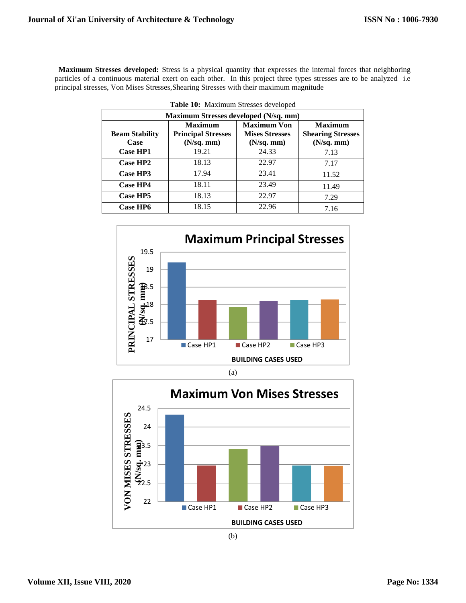**Maximum Stresses developed:** Stress is a physical quantity that expresses the internal forces that neighboring particles of a continuous material exert on each other. In this project three types stresses are to be analyzed i.e principal stresses, Von Mises Stresses,Shearing Stresses with their maximum magnitude

| Table 10: Maximum Stresses developed  |                                                           |                                                                       |                                                               |
|---------------------------------------|-----------------------------------------------------------|-----------------------------------------------------------------------|---------------------------------------------------------------|
| Maximum Stresses developed (N/sq. mm) |                                                           |                                                                       |                                                               |
| <b>Beam Stability</b><br>Case         | <b>Maximum</b><br><b>Principal Stresses</b><br>(N/sq. mm) | <b>Maximum Von</b><br><b>Mises Stresses</b><br>$(N\text{/}sq.$ mm $)$ | <b>Maximum</b><br><b>Shearing Stresses</b><br>$(N/sq.$ mm $)$ |
| <b>Case HP1</b>                       | 19.21                                                     | 24.33                                                                 | 7.13                                                          |
| Case HP2                              | 18.13                                                     | 22.97                                                                 | 7.17                                                          |
| Case HP3                              | 17.94                                                     | 23.41                                                                 | 11.52                                                         |
| <b>Case HP4</b>                       | 18.11                                                     | 23.49                                                                 | 11.49                                                         |
| Case HP5                              | 18.13                                                     | 22.97                                                                 | 7.29                                                          |
| <b>Case HP6</b>                       | 18.15                                                     | 22.96                                                                 | 7.16                                                          |



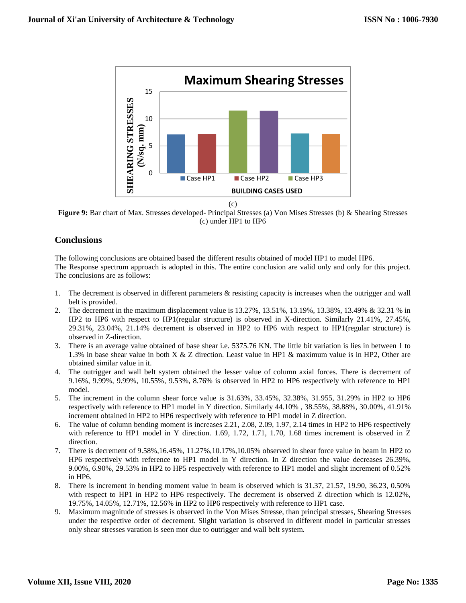

**Figure 9:** Bar chart of Max. Stresses developed- Principal Stresses (a) Von Mises Stresses (b) & Shearing Stresses (c) under HP1 to HP6

# **Conclusions**

The following conclusions are obtained based the different results obtained of model HP1 to model HP6. The Response spectrum approach is adopted in this. The entire conclusion are valid only and only for this project. The conclusions are as follows:

- 1. The decrement is observed in different parameters & resisting capacity is increases when the outrigger and wall belt is provided.
- 2. The decrement in the maximum displacement value is 13.27%, 13.51%, 13.19%, 13.38%, 13.49% & 32.31 % in HP2 to HP6 with respect to HP1(regular structure) is observed in X-direction. Similarly 21.41%, 27.45%, 29.31%, 23.04%, 21.14% decrement is observed in HP2 to HP6 with respect to HP1(regular structure) is observed in Z-direction.
- 3. There is an average value obtained of base shear i.e. 5375.76 KN. The little bit variation is lies in between 1 to 1.3% in base shear value in both X & Z direction. Least value in HP1 & maximum value is in HP2, Other are obtained similar value in it.
- 4. The outrigger and wall belt system obtained the lesser value of column axial forces. There is decrement of 9.16%, 9.99%, 9.99%, 10.55%, 9.53%, 8.76% is observed in HP2 to HP6 respectively with reference to HP1 model.
- 5. The increment in the column shear force value is 31.63%, 33.45%, 32.38%, 31.955, 31.29% in HP2 to HP6 respectively with reference to HP1 model in Y direction. Similarly 44.10% , 38.55%, 38.88%, 30.00%, 41.91% increment obtained in HP2 to HP6 respectively with reference to HP1 model in Z direction.
- 6. The value of column bending moment is increases 2.21, 2.08, 2.09, 1.97, 2.14 times in HP2 to HP6 respectively with reference to HP1 model in Y direction. 1.69, 1.72, 1.71, 1.70, 1.68 times increment is observed in Z direction.
- 7. There is decrement of 9.58%,16.45%, 11.27%,10.17%,10.05% observed in shear force value in beam in HP2 to HP6 respectively with reference to HP1 model in Y direction. In Z direction the value decreases 26.39%, 9.00%, 6.90%, 29.53% in HP2 to HP5 respectively with reference to HP1 model and slight increment of 0.52% in HP6.
- 8. There is increment in bending moment value in beam is observed which is 31.37, 21.57, 19.90, 36.23, 0.50% with respect to HP1 in HP2 to HP6 respectively. The decrement is observed Z direction which is 12.02%, 19.75%, 14.05%, 12.71%, 12.56% in HP2 to HP6 respectively with reference to HP1 case.
- 9. Maximum magnitude of stresses is observed in the Von Mises Stresse, than principal stresses, Shearing Stresses under the respective order of decrement. Slight variation is observed in different model in particular stresses only shear stresses varation is seen mor due to outrigger and wall belt system.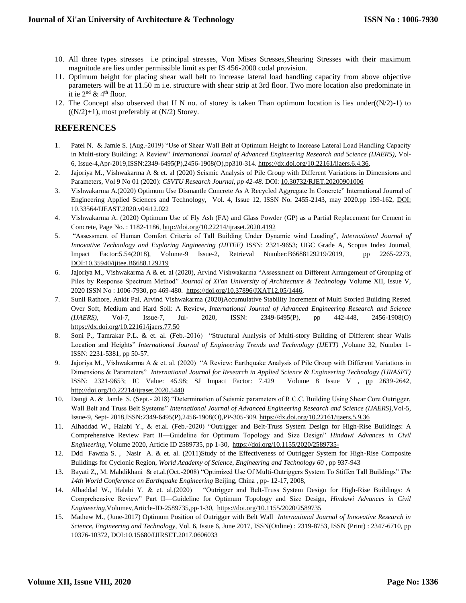- 10. All three types stresses i.e principal stresses, Von Mises Stresses,Shearing Stresses with their maximum magnitude are lies under permissible limit as per IS 456-2000 codal provision.
- 11. Optimum height for placing shear wall belt to increase lateral load handling capacity from above objective parameters will be at 11.50 m i.e. structure with shear strip at 3rd floor. Two more location also predominate in it ie  $2<sup>nd</sup> \& 4<sup>th</sup>$  floor.
- 12. The Concept also observed that If N no. of storey is taken Than optimum location is lies under( $(N/2)$ -1) to  $((N/2)+1)$ , most preferably at  $(N/2)$  Storey.

# **REFERENCES**

- 1. Patel N. & Jamle S. (Aug.-2019) "Use of Shear Wall Belt at Optimum Height to Increase Lateral Load Handling Capacity in Multi-story Building: A Review" *International Journal of Advanced Engineering Research and Science (IJAERS),* Vol-6, Issue-4,Apr-2019,ISSN:2349-6495(P),2456-1908(O),pp310-314[. https://dx.doi.org/10.22161/ijaers.6.4.36,](https://dx.doi.org/10.22161/ijaers.6.4.36)
- 2. Jajoriya M., Vishwakarma A & et. al (2020) Seismic Analysis of Pile Group with Different Variations in Dimensions and Parameters, Vol 9 No 01 (2020): *CSVTU Research Journal, pp 42-48.* DOI: [10.30732/RJET.20200901006](https://www.researchgate.net/deref/http%3A%2F%2Fdx.doi.org%2F10.30732%2FRJET.20200901006?_sg%5B0%5D=qGjvq-dMp2cGWTY0OtLyrfboyhcTERFPwkaITPgm0_7ESSg7F6wxyyRymjarnrnAIp9b89oeyYZr4v-syiEeKmn_Hw.RwS-0Zs7tI5SLaBVk2agLR8z8obpvwQwaZ8qqxo3AcE_nKHPuwc-oZISi1tq_PaGUzO1C3WYrPGis-5B6g88Lw)
- 3. Vishwakarma A.(2020) Optimum Use Dismantle Concrete As A Recycled Aggregate In Concrete" International Journal of Engineering Applied Sciences and Technology, Vol. 4, Issue 12, ISSN No. 2455-2143, may 2020.pp 159-162, DOI: 10.33564/IJEAST.2020.v04i12.022
- 4. Vishwakarma A. (2020) Optimum Use of Fly Ash (FA) and Glass Powder (GP) as a Partial Replacement for Cement in Concrete, Page No. : 1182-1186, http://doi.org/10.22214/ijraset.2020.4192
- 5. "Assessment of Human Comfort Criteria of Tall Building Under Dynamic wind Loading", *International Journal of Innovative Technology and Exploring Engineering (IJITEE)* ISSN: 2321-9653; UGC Grade A, Scopus Index Journal, Impact Factor:5.54(2018), Volume-9 Issue-2, Retrieval Number:B6688129219/2019, pp 2265-2273, DOI:10.35940/ijitee.B6688.129219
- 6. Jajoriya M., Vishwakarma A & et. al (2020), Arvind Vishwakarma "Assessment on Different Arrangement of Grouping of Piles by Response Spectrum Method" *Journal of Xi'an University of Architecture & Technology* Volume XII, Issue V, 2020 ISSN No : 1006-7930, pp 469-480. [https://doi.org/10.37896/JXAT12.05/1446,](https://doi.org/10.37896/JXAT12.05/1446)
- 7. Sunil Rathore, Ankit Pal, Arvind Vishwakarma (2020)Accumulative Stability Increment of Multi Storied Building Rested Over Soft, Medium and Hard Soil: A Review*, International Journal of Advanced Engineering Research and Science (IJAERS)*, Vol-7, Issue-7, Jul- 2020, ISSN: 2349-6495(P), pp 442-448, 2456-1908(O) https://dx.doi.org/10.22161/ijaers.77.50
- 8. Soni P., Tamrakar P.L. & et. al. (Feb.-2016) "Structural Analysis of Multi-story Building of Different shear Walls Location and Heights" *International Journal of Engineering Trends and Technology (IJETT)* ,Volume 32, Number 1- ISSN: 2231-5381, pp 50-57.
- 9. Jajoriya M., Vishwakarma A & et. al. (2020) "A Review: Earthquake Analysis of Pile Group with Different Variations in Dimensions & Parameters" *International Journal for Research in Applied Science & Engineering Technology (IJRASET)* ISSN: 2321-9653; IC Value: 45.98; SJ Impact Factor: 7.429 Volume 8 Issue V , pp 2639-2642, <http://doi.org/10.22214/ijraset.2020.5440>
- 10. Dangi A. & Jamle S. (Sept.- 2018) "Determination of Seismic parameters of R.C.C. Building Using Shear Core Outrigger, Wall Belt and Truss Belt Systems" *International Journal of Advanced Engineering Research and Science (IJAERS),*Vol-5, Issue-9, Sept- 2018,ISSN:2349-6495(P),2456-1908(O),PP-305-309.<https://dx.doi.org/10.22161/ijaers.5.9.36>
- 11. Alhaddad W., Halabi Y., & et.al. (Feb.-2020) "Outrigger and Belt-Truss System Design for High-Rise Buildings: A Comprehensive Review Part II—Guideline for Optimum Topology and Size Design" *Hindawi Advances in Civil Engineering,* Volume 2020, Article ID 2589735, pp 1-30,<https://doi.org/10.1155/2020/2589735->
- 12. Ddd Fawzia S. , Nasir A. & et. al. (2011)Study of the Effectiveness of Outrigger System for High-Rise Composite Buildings for Cyclonic Region, *World Academy of Science, Engineering and Technology 60* , pp 937-943
- 13. Bayati Z,, M. Mahdikhani & et.al.(Oct.-2008) "Optimized Use Of Multi-Outriggers System To Stiffen Tall Buildings" *The 14th World Conference on Earthquake Engineering* Beijing, China , pp- 12-17, 2008,
- 14. Alhaddad W., Halabi Y. & et. al.(2020) "Outrigger and Belt-Truss System Design for High-Rise Buildings: A Comprehensive Review" Part II—Guideline for Optimum Topology and Size Design, *Hindawi Advances in Civil Engineering*,Volumev,Article-ID-2589735,pp-1-30,<https://doi.org/10.1155/2020/2589735>
- 15. Mathew M., (June-2017) Optimum Position of Outrigger with Belt Wall *International Journal of Innovative Research in Science, Engineering and Technology*, Vol. 6, Issue 6, June 2017, ISSN(Online) : 2319-8753, ISSN (Print) : 2347-6710, pp 10376-10372, DOI:10.15680/IJIRSET.2017.0606033